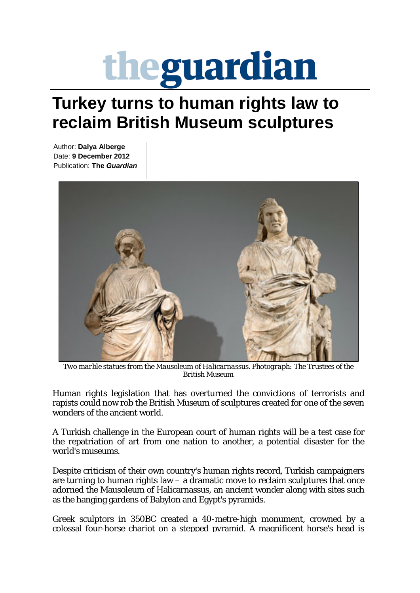## theguardian

## **Turkey turns to human rights law to reclaim British Museum sculptures**

Author: **Dalya Alberge** Date: **9 December 2012** Publication: **The** *Guardian*



*Two marble statues from the Mausoleum of Halicarnassus. Photograph: The Trustees of the British Museum*

Human rights legislation that has overturned the convictions of terrorists and rapists could now rob the British Museum of sculptures created for one of the seven wonders of the ancient world.

A Turkish challenge in the European court of human rights will be a test case for the repatriation of art from one nation to another, a potential disaster for the world's museums.

Despite criticism of their own country's human rights record, Turkish campaigners are turning to human rights  $law - a$  dramatic move to reclaim sculptures that once adorned the Mausoleum of Halicarnassus, an ancient wonder along with sites such as the hanging gardens of Babylon and Egypt's pyramids.

Greek sculptors in 350BC created a 40-metre-high monument, crowned by a colossal four-horse chariot on a stepped pyramid. A magnificent horse's head is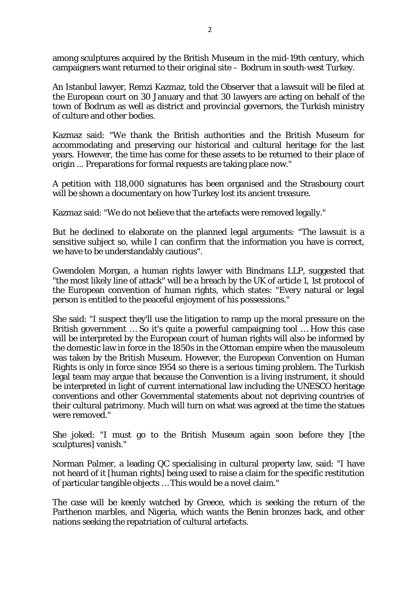among sculptures acquired by the British Museum in the mid-19th century, which campaigners want returned to their original site – Bodrum in south-west Turkey.

An Istanbul lawyer, Remzi Kazmaz, told the Observer that a lawsuit will be filed at the European court on 30 January and that 30 lawyers are acting on behalf of the town of Bodrum as well as district and provincial governors, the Turkish ministry of culture and other bodies.

Kazmaz said: "We thank the British authorities and the British Museum for accommodating and preserving our historical and cultural heritage for the last years. However, the time has come for these assets to be returned to their place of origin ... Preparations for formal requests are taking place now."

A petition with 118,000 signatures has been organised and the Strasbourg court will be shown a documentary on how Turkey lost its ancient treasure.

Kazmaz said: "We do not believe that the artefacts were removed legally."

But he declined to elaborate on the planned legal arguments: "The lawsuit is a sensitive subject so, while I can confirm that the information you have is correct, we have to be understandably cautious".

Gwendolen Morgan, a human rights lawyer with Bindmans LLP, suggested that "the most likely line of attack" will be a breach by the UK of article 1, 1st protocol of the European convention of human rights, which states: "Every natural or legal person is entitled to the peaceful enjoyment of his possessions."

She said: "I suspect they'll use the litigation to ramp up the moral pressure on the British government … So it's quite a powerful campaigning tool … How this case will be interpreted by the European court of human rights will also be informed by the domestic law in force in the 1850s in the Ottoman empire when the mausoleum was taken by the British Museum. However, the European Convention on Human Rights is only in force since 1954 so there is a serious timing problem. The Turkish legal team may argue that because the Convention is a living instrument, it should be interpreted in light of current international law including the UNESCO heritage conventions and other Governmental statements about not depriving countries of their cultural patrimony. Much will turn on what was agreed at the time the statues were removed."

She joked: "I must go to the British Museum again soon before they [the sculptures] vanish."

Norman Palmer, a leading QC specialising in cultural property law, said: "I have not heard of it [human rights] being used to raise a claim for the specific restitution of particular tangible objects … This would be a novel claim."

The case will be keenly watched by Greece, which is seeking the return of the Parthenon marbles, and Nigeria, which wants the Benin bronzes back, and other nations seeking the repatriation of cultural artefacts.